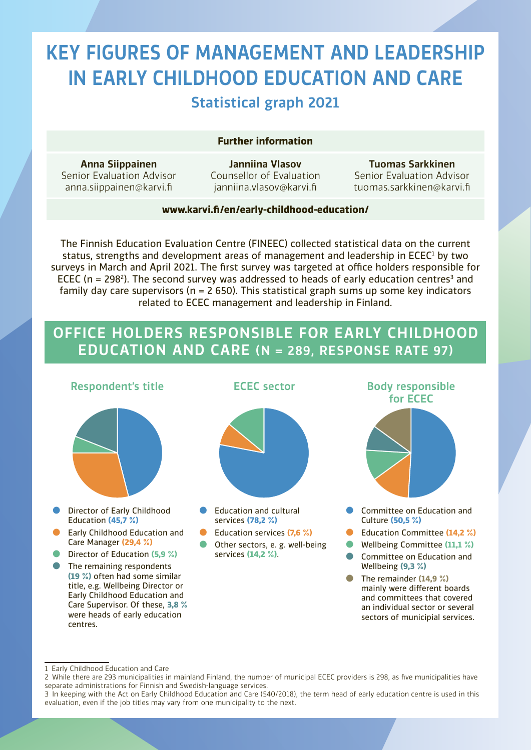# KEY FIGURES OF MANAGEMENT AND LEADERSHIP IN EARLY CHILDHOOD EDUCATION AND CARE Statistical graph 2021

#### **Further information**

Anna Siippainen Senior Evaluation Advisor [anna.siippainen@karvi.fi](mailto:anna.siippainen@karvi.fi)

Janniina Vlasov Counsellor of Evaluation [janniina.vlasov@karvi.fi](mailto:janniina.vlasov@karvi.fi)

Tuomas Sarkkinen Senior Evaluation Advisor [tuomas.sarkkinen@karvi.fi](mailto:tuomas.sarkkinen@karvi.fi)

#### **www.karvi.fi/en/early-childhood-education/**

The Finnish Education Evaluation Centre (FINEEC) collected statistical data on the current status, strengths and development areas of management and leadership in ECEC<sup>1</sup> by two surveys in March and April 2021. The first survey was targeted at office holders responsible for ECEC (n = 298<sup>2</sup>). The second survey was addressed to heads of early education centres<sup>3</sup> and family day care supervisors ( $n = 2$  650). This statistical graph sums up some key indicators related to ECEC management and leadership in Finland.

### OFFICE HOLDERS RESPONSIBLE FOR EARLY CHILDHOOD EDUCATION AND CARE (N = 289, RESPONSE RATE 97)



<sup>1</sup> Early Childhood Education and Care

<sup>2</sup> While there are 293 municipalities in mainland Finland, the number of municipal ECEC providers is 298, as five municipalities have separate administrations for Finnish and Swedish-language services.

<sup>3</sup> In keeping with the Act on Early Childhood Education and Care (540/2018), the term head of early education centre is used in this evaluation, even if the job titles may vary from one municipality to the next.